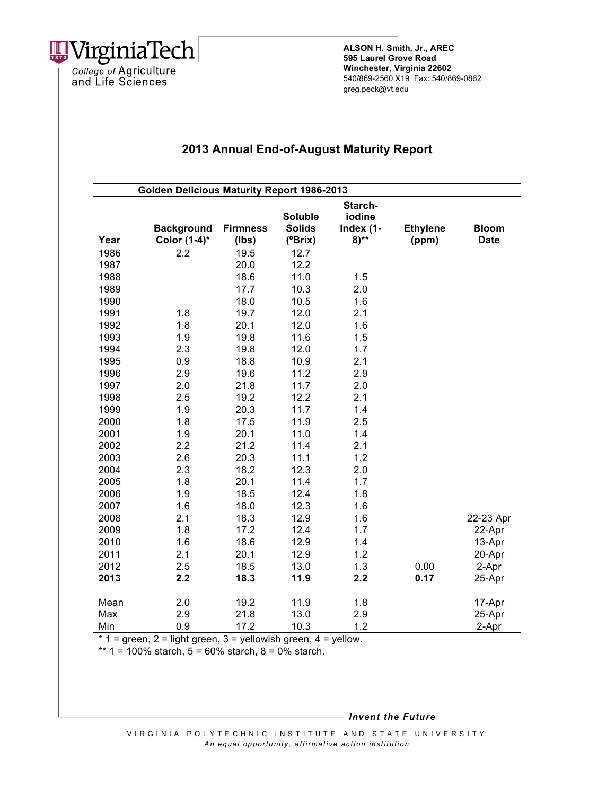

College of Agriculture<br>and Life Sciences

**ALSON H. Smith, Jr., AREC 595 Laurel Grove Road Winchester, Virginia 22602** 540/869-2560 X19 Fax: 540/869-0862 greg.peck@vt.edu

## **2013 Annual End-of-August Maturity Report**

| <b>Golden Delicious Maturity Report 1986-2013</b> |                   |                 |                |           |                 |              |  |
|---------------------------------------------------|-------------------|-----------------|----------------|-----------|-----------------|--------------|--|
|                                                   |                   |                 |                | Starch-   |                 |              |  |
|                                                   |                   |                 | <b>Soluble</b> | iodine    |                 |              |  |
|                                                   | <b>Background</b> | <b>Firmness</b> | <b>Solids</b>  | Index (1- | <b>Ethylene</b> | <b>Bloom</b> |  |
| Year                                              | Color (1-4)*      | $($ lbs $)$     | (°Brix)        | $8)***$   | (ppm)           | <b>Date</b>  |  |
| 1986                                              | 2.2               | 19.5            | 12.7           |           |                 |              |  |
| 1987                                              |                   | 20.0            | 12.2           |           |                 |              |  |
| 1988                                              |                   | 18.6            | 11.0           | 1.5       |                 |              |  |
| 1989                                              |                   | 17.7            | 10.3           | 2.0       |                 |              |  |
| 1990                                              |                   | 18.0            | 10.5           | 1.6       |                 |              |  |
| 1991                                              | 1.8               | 19.7            | 12.0           | 2.1       |                 |              |  |
| 1992                                              | 1.8               | 20.1            | 12.0           | 1.6       |                 |              |  |
| 1993                                              | 1.9               | 19.8            | 11.6           | 1.5       |                 |              |  |
| 1994                                              | 2.3               | 19.8            | 12.0           | 1.7       |                 |              |  |
| 1995                                              | 0.9               | 18.8            | 10.9           | 2.1       |                 |              |  |
| 1996                                              | 2.9               | 19.6            | 11.2           | 2.9       |                 |              |  |
| 1997                                              | 2.0               | 21.8            | 11.7           | 2.0       |                 |              |  |
| 1998                                              | 2.5               | 19.2            | 12.2           | 2.1       |                 |              |  |
| 1999                                              | 1.9               | 20.3            | 11.7           | 1.4       |                 |              |  |
| 2000                                              | 1.8               | 17.5            | 11.9           | 2.5       |                 |              |  |
| 2001                                              | 1.9               | 20.1            | 11.0           | 1.4       |                 |              |  |
| 2002                                              | 2.2               | 21.2            | 11.4           | 2.1       |                 |              |  |
| 2003                                              | 2.6               | 20.3            | 11.1           | 1.2       |                 |              |  |
| 2004                                              | 2.3               | 18.2            | 12.3           | 2.0       |                 |              |  |
| 2005                                              | 1.8               | 20.1            | 11.4           | 1.7       |                 |              |  |
| 2006                                              | 1.9               | 18.5            | 12.4           | 1.8       |                 |              |  |
| 2007                                              | 1.6               | 18.0            | 12.3           | 1.6       |                 |              |  |
| 2008                                              | 2.1               | 18.3            | 12.9           | 1.6       |                 | 22-23 Apr    |  |
| 2009                                              | 1.8               | 17.2            | 12.4           | 1.7       |                 | 22-Apr       |  |
| 2010                                              | 1.6               | 18.6            | 12.9           | 1.4       |                 | 13-Apr       |  |
| 2011                                              | 2.1               | 20.1            | 12.9           | 1.2       |                 | 20-Apr       |  |
| 2012                                              | 2.5               | 18.5            | 13.0           | 1.3       | 0.00            | 2-Apr        |  |
| 2013                                              | 2.2               | 18.3            | 11.9           | 2.2       | 0.17            | 25-Apr       |  |
| Mean                                              | 2.0               | 19.2            | 11.9           | 1.8       |                 | 17-Apr       |  |
| Max                                               | 2.9               | 21.8            | 13.0           | 2.9       |                 | 25-Apr       |  |
| Min                                               | 0.9               | 17.2            | 10.3           | 1.2       |                 | $2-Apr$      |  |

 $*$  1 = green, 2 = light green, 3 = yellowish green, 4 = yellow.

\*\*  $1 = 100\%$  starch,  $5 = 60\%$  starch,  $8 = 0\%$  starch.

*Invent the Future*

VIRGINIA POLYTECHNIC INSTITUTE AND STATE UNIVERSITY *An equal opportunity, affirmative act ion institution*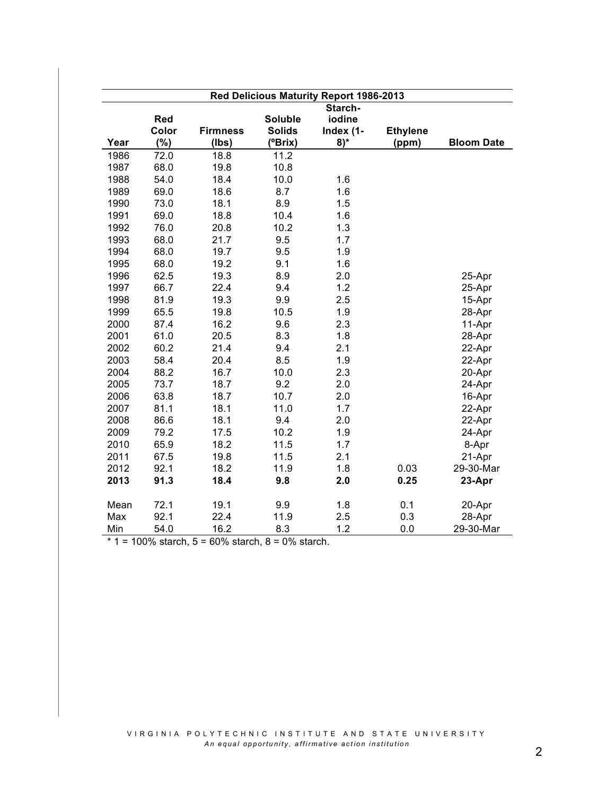|      | Red Delicious Maturity Report 1986-2013 |                 |                |           |                 |                   |  |  |
|------|-----------------------------------------|-----------------|----------------|-----------|-----------------|-------------------|--|--|
|      |                                         |                 |                | Starch-   |                 |                   |  |  |
|      | Red                                     |                 | <b>Soluble</b> | iodine    |                 |                   |  |  |
|      | Color                                   | <b>Firmness</b> | <b>Solids</b>  | Index (1- | <b>Ethylene</b> |                   |  |  |
| Year | (%)                                     | (lbs)           | (°Brix)        | $8)$ *    | (ppm)           | <b>Bloom Date</b> |  |  |
| 1986 | 72.0                                    | 18.8            | 11.2           |           |                 |                   |  |  |
| 1987 | 68.0                                    | 19.8            | 10.8           |           |                 |                   |  |  |
| 1988 | 54.0                                    | 18.4            | 10.0           | 1.6       |                 |                   |  |  |
| 1989 | 69.0                                    | 18.6            | 8.7            | 1.6       |                 |                   |  |  |
| 1990 | 73.0                                    | 18.1            | 8.9            | 1.5       |                 |                   |  |  |
| 1991 | 69.0                                    | 18.8            | 10.4           | 1.6       |                 |                   |  |  |
| 1992 | 76.0                                    | 20.8            | 10.2           | 1.3       |                 |                   |  |  |
| 1993 | 68.0                                    | 21.7            | 9.5            | 1.7       |                 |                   |  |  |
| 1994 | 68.0                                    | 19.7            | 9.5            | 1.9       |                 |                   |  |  |
| 1995 | 68.0                                    | 19.2            | 9.1            | 1.6       |                 |                   |  |  |
| 1996 | 62.5                                    | 19.3            | 8.9            | 2.0       |                 | 25-Apr            |  |  |
| 1997 | 66.7                                    | 22.4            | 9.4            | 1.2       |                 | 25-Apr            |  |  |
| 1998 | 81.9                                    | 19.3            | 9.9            | 2.5       |                 | 15-Apr            |  |  |
| 1999 | 65.5                                    | 19.8            | 10.5           | 1.9       |                 | 28-Apr            |  |  |
| 2000 | 87.4                                    | 16.2            | 9.6            | 2.3       |                 | 11-Apr            |  |  |
| 2001 | 61.0                                    | 20.5            | 8.3            | 1.8       |                 | 28-Apr            |  |  |
| 2002 | 60.2                                    | 21.4            | 9.4            | 2.1       |                 | 22-Apr            |  |  |
| 2003 | 58.4                                    | 20.4            | 8.5            | 1.9       |                 | 22-Apr            |  |  |
| 2004 | 88.2                                    | 16.7            | 10.0           | 2.3       |                 | 20-Apr            |  |  |
| 2005 | 73.7                                    | 18.7            | 9.2            | 2.0       |                 | 24-Apr            |  |  |
| 2006 | 63.8                                    | 18.7            | 10.7           | 2.0       |                 | 16-Apr            |  |  |
| 2007 | 81.1                                    | 18.1            | 11.0           | 1.7       |                 | 22-Apr            |  |  |
| 2008 | 86.6                                    | 18.1            | 9.4            | 2.0       |                 | 22-Apr            |  |  |
| 2009 | 79.2                                    | 17.5            | 10.2           | 1.9       |                 | 24-Apr            |  |  |
| 2010 | 65.9                                    | 18.2            | 11.5           | 1.7       |                 | 8-Apr             |  |  |
| 2011 | 67.5                                    | 19.8            | 11.5           | 2.1       |                 | 21-Apr            |  |  |
| 2012 | 92.1                                    | 18.2            | 11.9           | 1.8       | 0.03            | 29-30-Mar         |  |  |
| 2013 | 91.3                                    | 18.4            | 9.8            | 2.0       | 0.25            | 23-Apr            |  |  |
| Mean | 72.1                                    | 19.1            | 9.9            | 1.8       | 0.1             | 20-Apr            |  |  |
| Max  | 92.1                                    | 22.4            | 11.9           | 2.5       | 0.3             | 28-Apr            |  |  |
| Min  | 54.0                                    | 16.2            | 8.3            | 1.2       | 0.0             | 29-30-Mar         |  |  |

 $*$  1 = 100% starch, 5 = 60% starch, 8 = 0% starch.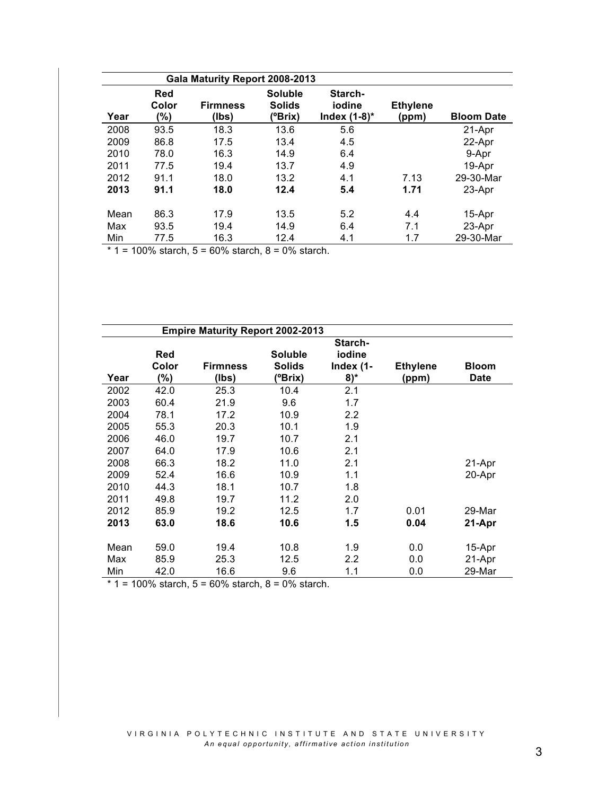|      |                     | Gala Maturity Report 2008-2013 |                                            |                                      |                          |                   |
|------|---------------------|--------------------------------|--------------------------------------------|--------------------------------------|--------------------------|-------------------|
| Year | Red<br>Color<br>(%) | <b>Firmness</b><br>(lbs)       | <b>Soluble</b><br><b>Solids</b><br>(°Brix) | Starch-<br>iodine<br>Index $(1-8)^*$ | <b>Ethylene</b><br>(ppm) | <b>Bloom Date</b> |
| 2008 | 93.5                | 18.3                           | 13.6                                       | 5.6                                  |                          | 21-Apr            |
| 2009 | 86.8                | 17.5                           | 13.4                                       | 4.5                                  |                          | 22-Apr            |
| 2010 | 78.0                | 16.3                           | 14.9                                       | 6.4                                  |                          | 9-Apr             |
| 2011 | 77.5                | 19.4                           | 13.7                                       | 4.9                                  |                          | 19-Apr            |
| 2012 | 91.1                | 18.0                           | 13.2                                       | 4.1                                  | 7.13                     | 29-30-Mar         |
| 2013 | 91.1                | 18.0                           | 12.4                                       | 5.4                                  | 1.71                     | 23-Apr            |
| Mean | 86.3                | 17.9                           | 13.5                                       | 5.2                                  | 4.4                      | 15-Apr            |
| Max  | 93.5                | 19.4                           | 14.9                                       | 6.4                                  | 7.1                      | 23-Apr            |
| Min  | 77.5                | 16.3                           | 12.4                                       | 4.1                                  | 1.7                      | 29-30-Mar         |

 $*$  1 = 100% starch, 5 = 60% starch, 8 = 0% starch.

|      |                            | <b>Empire Maturity Report 2002-2013</b> |                                            |                               |                          |                             |
|------|----------------------------|-----------------------------------------|--------------------------------------------|-------------------------------|--------------------------|-----------------------------|
|      |                            |                                         |                                            | Starch-                       |                          |                             |
| Year | <b>Red</b><br>Color<br>(%) | <b>Firmness</b><br>(lbs)                | <b>Soluble</b><br><b>Solids</b><br>(°Brix) | iodine<br>Index (1-<br>$8)$ * | <b>Ethylene</b><br>(ppm) | <b>Bloom</b><br><b>Date</b> |
| 2002 | 42.0                       | 25.3                                    | 10.4                                       | 2.1                           |                          |                             |
| 2003 | 60.4                       | 21.9                                    | 9.6                                        | 1.7                           |                          |                             |
| 2004 | 78.1                       | 17.2                                    | 10.9                                       | 2.2                           |                          |                             |
| 2005 | 55.3                       | 20.3                                    | 10.1                                       | 1.9                           |                          |                             |
| 2006 | 46.0                       | 19.7                                    | 10.7                                       | 2.1                           |                          |                             |
| 2007 | 64.0                       | 17.9                                    | 10.6                                       | 2.1                           |                          |                             |
| 2008 | 66.3                       | 18.2                                    | 11.0                                       | 2.1                           |                          | 21-Apr                      |
| 2009 | 52.4                       | 16.6                                    | 10.9                                       | 1.1                           |                          | 20-Apr                      |
| 2010 | 44.3                       | 18.1                                    | 10.7                                       | 1.8                           |                          |                             |
| 2011 | 49.8                       | 19.7                                    | 11.2                                       | 2.0                           |                          |                             |
| 2012 | 85.9                       | 19.2                                    | 12.5                                       | 1.7                           | 0.01                     | 29-Mar                      |
| 2013 | 63.0                       | 18.6                                    | 10.6                                       | 1.5                           | 0.04                     | 21-Apr                      |
| Mean | 59.0                       | 19.4                                    | 10.8                                       | 1.9                           | 0.0                      | 15-Apr                      |
| Max  | 85.9                       | 25.3                                    | 12.5                                       | $2.2\,$                       | 0.0                      | 21-Apr                      |
| Min  | 42.0                       | 16.6                                    | 9.6                                        | 1.1                           | 0.0                      | 29-Mar                      |

 $*$  1 = 100% starch, 5 = 60% starch, 8 = 0% starch.